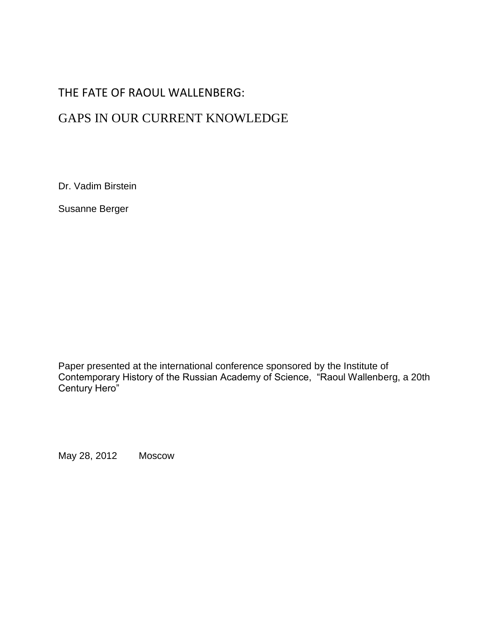# THE FATE OF RAOUL WALLENBERG:

# GAPS IN OUR CURRENT KNOWLEDGE

Dr. Vadim Birstein

Susanne Berger

Paper presented at the international conference sponsored by the Institute of Contemporary History of the Russian Academy of Science, "Raoul Wallenberg, a 20th Century Hero"

May 28, 2012 Moscow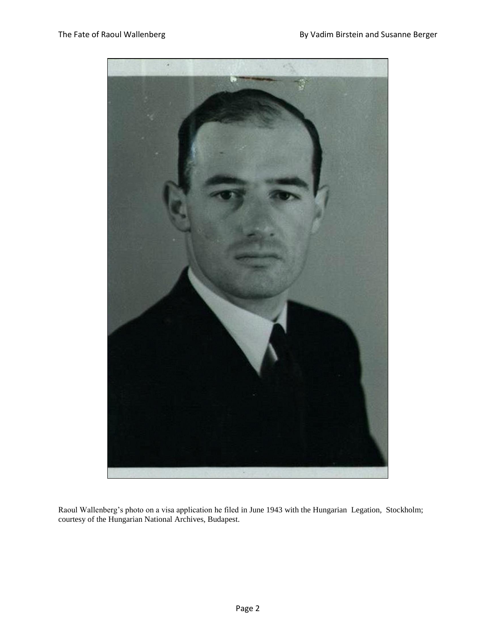

Raoul Wallenberg's photo on a visa application he filed in June 1943 with the Hungarian Legation, Stockholm; courtesy of the Hungarian National Archives, Budapest.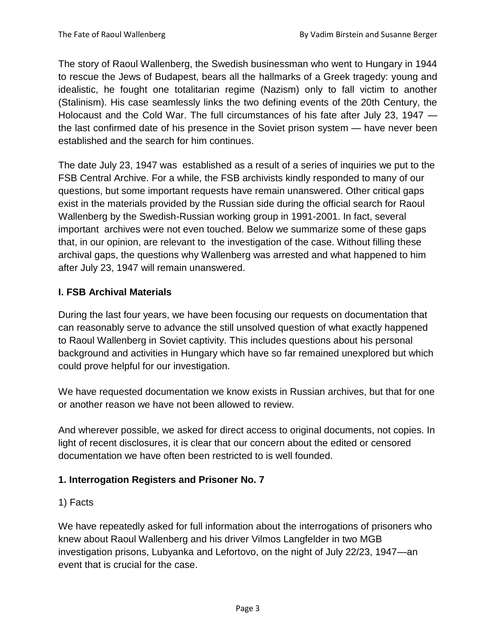The story of Raoul Wallenberg, the Swedish businessman who went to Hungary in 1944 to rescue the Jews of Budapest, bears all the hallmarks of a Greek tragedy: young and idealistic, he fought one totalitarian regime (Nazism) only to fall victim to another (Stalinism). His case seamlessly links the two defining events of the 20th Century, the Holocaust and the Cold War. The full circumstances of his fate after July 23, 1947 the last confirmed date of his presence in the Soviet prison system — have never been established and the search for him continues.

The date July 23, 1947 was established as a result of a series of inquiries we put to the FSB Central Archive. For a while, the FSB archivists kindly responded to many of our questions, but some important requests have remain unanswered. Other critical gaps exist in the materials provided by the Russian side during the official search for Raoul Wallenberg by the Swedish-Russian working group in 1991-2001. In fact, several important archives were not even touched. Below we summarize some of these gaps that, in our opinion, are relevant to the investigation of the case. Without filling these archival gaps, the questions why Wallenberg was arrested and what happened to him after July 23, 1947 will remain unanswered.

## **I. FSB Archival Materials**

During the last four years, we have been focusing our requests on documentation that can reasonably serve to advance the still unsolved question of what exactly happened to Raoul Wallenberg in Soviet captivity. This includes questions about his personal background and activities in Hungary which have so far remained unexplored but which could prove helpful for our investigation.

We have requested documentation we know exists in Russian archives, but that for one or another reason we have not been allowed to review.

And wherever possible, we asked for direct access to original documents, not copies. In light of recent disclosures, it is clear that our concern about the edited or censored documentation we have often been restricted to is well founded.

#### **1. Interrogation Registers and Prisoner No. 7**

#### 1) Facts

We have repeatedly asked for full information about the interrogations of prisoners who knew about Raoul Wallenberg and his driver Vilmos Langfelder in two MGB investigation prisons, Lubyanka and Lefortovo, on the night of July 22/23, 1947—an event that is crucial for the case.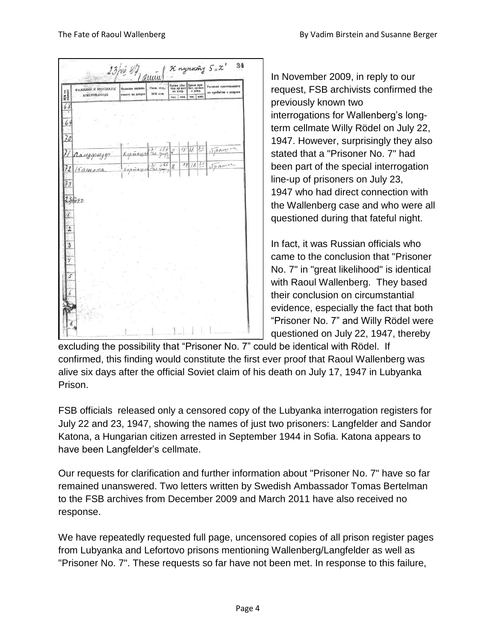

In November 2009, in reply to our request, FSB archivists confirmed the previously known two interrogations for Wallenberg's longterm cellmate Willy Rödel on July 22, 1947. However, surprisingly they also stated that a "Prisoner No. 7" had been part of the special interrogation line-up of prisoners on July 23, 1947 who had direct connection with the Wallenberg case and who were all questioned during that fateful night.

In fact, it was Russian officials who came to the conclusion that "Prisoner No. 7" in "great likelihood" is identical with Raoul Wallenberg. They based their conclusion on circumstantial evidence, especially the fact that both "Prisoner No. 7" and Willy Rödel were questioned on July 22, 1947, thereby

excluding the possibility that "Prisoner No. 7" could be identical with Rödel. If confirmed, this finding would constitute the first ever proof that Raoul Wallenberg was alive six days after the official Soviet claim of his death on July 17, 1947 in Lubyanka Prison.

FSB officials released only a censored copy of the Lubyanka interrogation registers for July 22 and 23, 1947, showing the names of just two prisoners: Langfelder and Sandor Katona, a Hungarian citizen arrested in September 1944 in Sofia. Katona appears to have been Langfelder's cellmate.

Our requests for clarification and further information about "Prisoner No. 7" have so far remained unanswered. Two letters written by Swedish Ambassador Tomas Bertelman to the FSB archives from December 2009 and March 2011 have also received no response.

We have repeatedly requested full page, uncensored copies of all prison register pages from Lubyanka and Lefortovo prisons mentioning Wallenberg/Langfelder as well as "Prisoner No. 7". These requests so far have not been met. In response to this failure,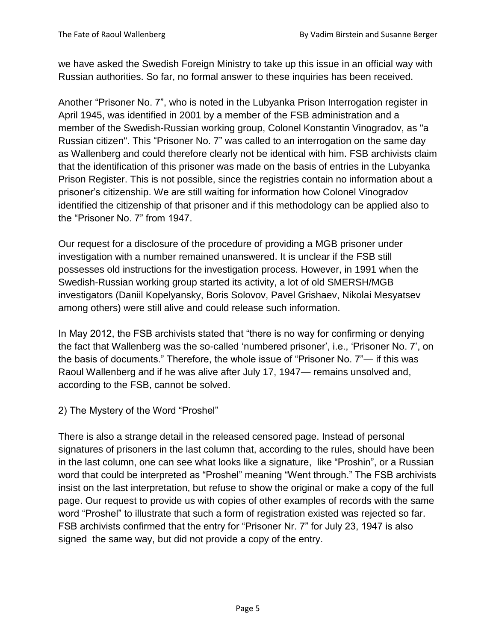we have asked the Swedish Foreign Ministry to take up this issue in an official way with Russian authorities. So far, no formal answer to these inquiries has been received.

Another "Prisoner No. 7", who is noted in the Lubyanka Prison Interrogation register in April 1945, was identified in 2001 by a member of the FSB administration and a member of the Swedish-Russian working group, Colonel Konstantin Vinogradov, as "a Russian citizen". This "Prisoner No. 7" was called to an interrogation on the same day as Wallenberg and could therefore clearly not be identical with him. FSB archivists claim that the identification of this prisoner was made on the basis of entries in the Lubyanka Prison Register. This is not possible, since the registries contain no information about a prisoner's citizenship. We are still waiting for information how Colonel Vinogradov identified the citizenship of that prisoner and if this methodology can be applied also to the "Prisoner No. 7" from 1947.

Our request for a disclosure of the procedure of providing a MGB prisoner under investigation with a number remained unanswered. It is unclear if the FSB still possesses old instructions for the investigation process. However, in 1991 when the Swedish-Russian working group started its activity, a lot of old SMERSH/MGB investigators (Daniil Kopelyansky, Boris Solovov, Pavel Grishaev, Nikolai Mesyatsev among others) were still alive and could release such information.

In May 2012, the FSB archivists stated that "there is no way for confirming or denying the fact that Wallenberg was the so-called 'numbered prisoner', i.e., 'Prisoner No. 7', on the basis of documents." Therefore, the whole issue of "Prisoner No. 7"— if this was Raoul Wallenberg and if he was alive after July 17, 1947— remains unsolved and, according to the FSB, cannot be solved.

2) The Mystery of the Word "Proshel"

There is also a strange detail in the released censored page. Instead of personal signatures of prisoners in the last column that, according to the rules, should have been in the last column, one can see what looks like a signature, like "Proshin", or a Russian word that could be interpreted as "Proshel" meaning "Went through." The FSB archivists insist on the last interpretation, but refuse to show the original or make a copy of the full page. Our request to provide us with copies of other examples of records with the same word "Proshel" to illustrate that such a form of registration existed was rejected so far. FSB archivists confirmed that the entry for "Prisoner Nr. 7" for July 23, 1947 is also signed the same way, but did not provide a copy of the entry.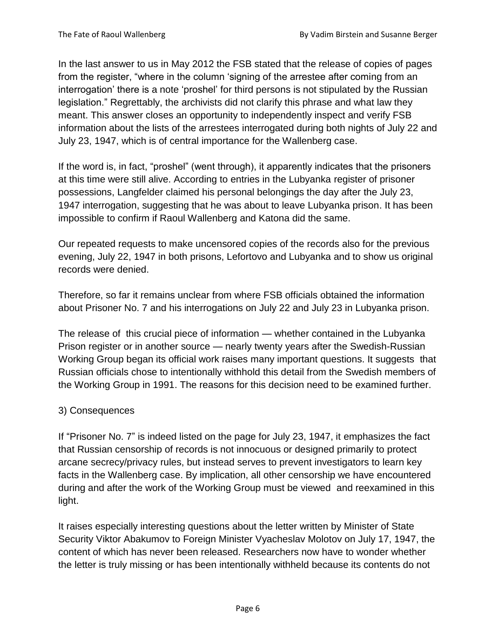In the last answer to us in May 2012 the FSB stated that the release of copies of pages from the register, "where in the column 'signing of the arrestee after coming from an interrogation' there is a note 'proshel' for third persons is not stipulated by the Russian legislation." Regrettably, the archivists did not clarify this phrase and what law they meant. This answer closes an opportunity to independently inspect and verify FSB information about the lists of the arrestees interrogated during both nights of July 22 and July 23, 1947, which is of central importance for the Wallenberg case.

If the word is, in fact, "proshel" (went through), it apparently indicates that the prisoners at this time were still alive. According to entries in the Lubyanka register of prisoner possessions, Langfelder claimed his personal belongings the day after the July 23, 1947 interrogation, suggesting that he was about to leave Lubyanka prison. It has been impossible to confirm if Raoul Wallenberg and Katona did the same.

Our repeated requests to make uncensored copies of the records also for the previous evening, July 22, 1947 in both prisons, Lefortovo and Lubyanka and to show us original records were denied.

Therefore, so far it remains unclear from where FSB officials obtained the information about Prisoner No. 7 and his interrogations on July 22 and July 23 in Lubyanka prison.

The release of this crucial piece of information — whether contained in the Lubyanka Prison register or in another source — nearly twenty years after the Swedish-Russian Working Group began its official work raises many important questions. It suggests that Russian officials chose to intentionally withhold this detail from the Swedish members of the Working Group in 1991. The reasons for this decision need to be examined further.

#### 3) Consequences

If "Prisoner No. 7" is indeed listed on the page for July 23, 1947, it emphasizes the fact that Russian censorship of records is not innocuous or designed primarily to protect arcane secrecy/privacy rules, but instead serves to prevent investigators to learn key facts in the Wallenberg case. By implication, all other censorship we have encountered during and after the work of the Working Group must be viewed and reexamined in this light.

It raises especially interesting questions about the letter written by Minister of State Security Viktor Abakumov to Foreign Minister Vyacheslav Molotov on July 17, 1947, the content of which has never been released. Researchers now have to wonder whether the letter is truly missing or has been intentionally withheld because its contents do not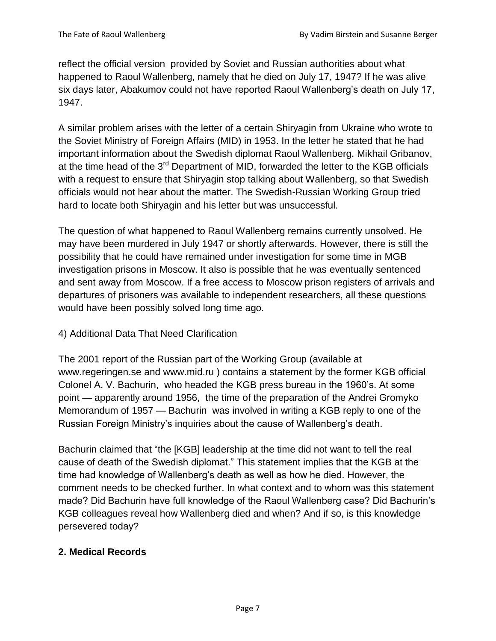reflect the official version provided by Soviet and Russian authorities about what happened to Raoul Wallenberg, namely that he died on July 17, 1947? If he was alive six days later, Abakumov could not have reported Raoul Wallenberg's death on July 17, 1947.

A similar problem arises with the letter of a certain Shiryagin from Ukraine who wrote to the Soviet Ministry of Foreign Affairs (MID) in 1953. In the letter he stated that he had important information about the Swedish diplomat Raoul Wallenberg. Mikhail Gribanov, at the time head of the 3<sup>rd</sup> Department of MID, forwarded the letter to the KGB officials with a request to ensure that Shiryagin stop talking about Wallenberg, so that Swedish officials would not hear about the matter. The Swedish-Russian Working Group tried hard to locate both Shiryagin and his letter but was unsuccessful.

The question of what happened to Raoul Wallenberg remains currently unsolved. He may have been murdered in July 1947 or shortly afterwards. However, there is still the possibility that he could have remained under investigation for some time in MGB investigation prisons in Moscow. It also is possible that he was eventually sentenced and sent away from Moscow. If a free access to Moscow prison registers of arrivals and departures of prisoners was available to independent researchers, all these questions would have been possibly solved long time ago.

#### 4) Additional Data That Need Clarification

The 2001 report of the Russian part of the Working Group (available at [www.regeringen.se](http://www.regeringen.se/) and [www.mid.ru](http://www.mid.ru/) ) contains a statement by the former KGB official Colonel A. V. Bachurin, who headed the KGB press bureau in the 1960's. At some point — apparently around 1956, the time of the preparation of the Andrei Gromyko Memorandum of 1957 — Bachurin was involved in writing a KGB reply to one of the Russian Foreign Ministry's inquiries about the cause of Wallenberg's death.

Bachurin claimed that "the [KGB] leadership at the time did not want to tell the real cause of death of the Swedish diplomat." This statement implies that the KGB at the time had knowledge of Wallenberg's death as well as how he died. However, the comment needs to be checked further. In what context and to whom was this statement made? Did Bachurin have full knowledge of the Raoul Wallenberg case? Did Bachurin's KGB colleagues reveal how Wallenberg died and when? And if so, is this knowledge persevered today?

#### **2. Medical Records**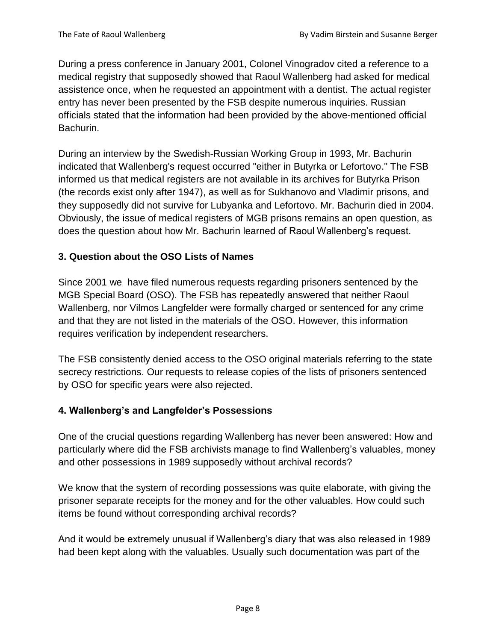During a press conference in January 2001, Colonel Vinogradov cited a reference to a medical registry that supposedly showed that Raoul Wallenberg had asked for medical assistence once, when he requested an appointment with a dentist. The actual register entry has never been presented by the FSB despite numerous inquiries. Russian officials stated that the information had been provided by the above-mentioned official Bachurin.

During an interview by the Swedish-Russian Working Group in 1993, Mr. Bachurin indicated that Wallenberg's request occurred "either in Butyrka or Lefortovo." The FSB informed us that medical registers are not available in its archives for Butyrka Prison (the records exist only after 1947), as well as for Sukhanovo and Vladimir prisons, and they supposedly did not survive for Lubyanka and Lefortovo. Mr. Bachurin died in 2004. Obviously, the issue of medical registers of MGB prisons remains an open question, as does the question about how Mr. Bachurin learned of Raoul Wallenberg's request.

#### **3. Question about the OSO Lists of Names**

Since 2001 we have filed numerous requests regarding prisoners sentenced by the MGB Special Board (OSO). The FSB has repeatedly answered that neither Raoul Wallenberg, nor Vilmos Langfelder were formally charged or sentenced for any crime and that they are not listed in the materials of the OSO. However, this information requires verification by independent researchers.

The FSB consistently denied access to the OSO original materials referring to the state secrecy restrictions. Our requests to release copies of the lists of prisoners sentenced by OSO for specific years were also rejected.

#### **4. Wallenberg's and Langfelder's Possessions**

One of the crucial questions regarding Wallenberg has never been answered: How and particularly where did the FSB archivists manage to find Wallenberg's valuables, money and other possessions in 1989 supposedly without archival records?

We know that the system of recording possessions was quite elaborate, with giving the prisoner separate receipts for the money and for the other valuables. How could such items be found without corresponding archival records?

And it would be extremely unusual if Wallenberg's diary that was also released in 1989 had been kept along with the valuables. Usually such documentation was part of the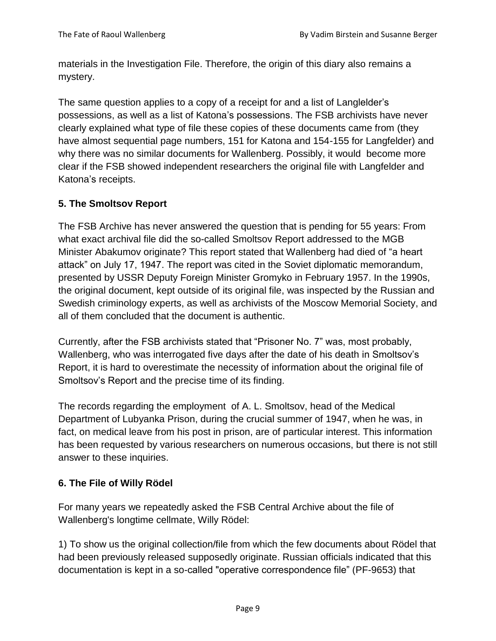materials in the Investigation File. Therefore, the origin of this diary also remains a mystery.

The same question applies to a copy of a receipt for and a list of Langlelder's possessions, as well as a list of Katona's possessions. The FSB archivists have never clearly explained what type of file these copies of these documents came from (they have almost sequential page numbers, 151 for Katona and 154-155 for Langfelder) and why there was no similar documents for Wallenberg. Possibly, it would become more clear if the FSB showed independent researchers the original file with Langfelder and Katona's receipts.

## **5. The Smoltsov Report**

The FSB Archive has never answered the question that is pending for 55 years: From what exact archival file did the so-called Smoltsov Report addressed to the MGB Minister Abakumov originate? This report stated that Wallenberg had died of "a heart attack" on July 17, 1947. The report was cited in the Soviet diplomatic memorandum, presented by USSR Deputy Foreign Minister Gromyko in February 1957. In the 1990s, the original document, kept outside of its original file, was inspected by the Russian and Swedish criminology experts, as well as archivists of the Moscow Memorial Society, and all of them concluded that the document is authentic.

Currently, after the FSB archivists stated that "Prisoner No. 7" was, most probably, Wallenberg, who was interrogated five days after the date of his death in Smoltsov's Report, it is hard to overestimate the necessity of information about the original file of Smoltsov's Report and the precise time of its finding.

The records regarding the employment of A. L. Smoltsov, head of the Medical Department of Lubyanka Prison, during the crucial summer of 1947, when he was, in fact, on medical leave from his post in prison, are of particular interest. This information has been requested by various researchers on numerous occasions, but there is not still answer to these inquiries.

#### **6. The File of Willy Rödel**

For many years we repeatedly asked the FSB Central Archive about the file of Wallenberg's longtime cellmate, Willy Rödel:

1) To show us the original collection/file from which the few documents about Rödel that had been previously released supposedly originate. Russian officials indicated that this documentation is kept in a so-called "operative correspondence file" (PF-9653) that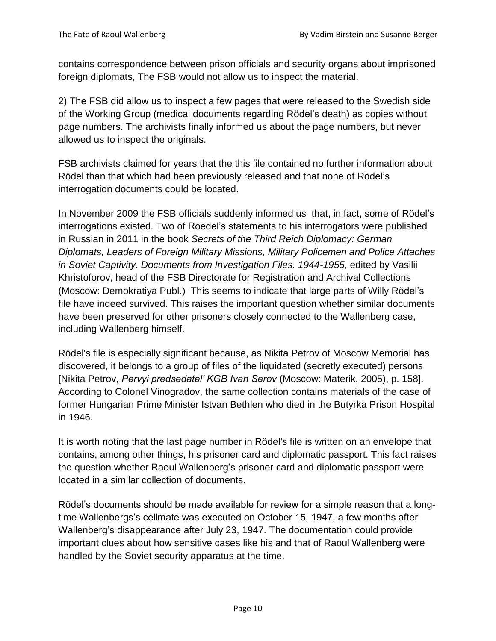contains correspondence between prison officials and security organs about imprisoned foreign diplomats, The FSB would not allow us to inspect the material.

2) The FSB did allow us to inspect a few pages that were released to the Swedish side of the Working Group (medical documents regarding Rödel's death) as copies without page numbers. The archivists finally informed us about the page numbers, but never allowed us to inspect the originals.

FSB archivists claimed for years that the this file contained no further information about Rödel than that which had been previously released and that none of Rödel's interrogation documents could be located.

In November 2009 the FSB officials suddenly informed us that, in fact, some of Rödel's interrogations existed. Two of Roedel's statements to his interrogators were published in Russian in 2011 in the book *Secrets of the Third Reich Diplomacy: German Diplomats, Leaders of Foreign Military Missions, Military Policemen and Police Attaches in Soviet Captivity. Documents from Investigation Files. 1944-1955, edited by Vasilii* Khristoforov, head of the FSB Directorate for Registration and Archival Collections (Moscow: Demokratiya Publ.) This seems to indicate that large parts of Willy Rödel's file have indeed survived. This raises the important question whether similar documents have been preserved for other prisoners closely connected to the Wallenberg case, including Wallenberg himself.

Rödel's file is especially significant because, as Nikita Petrov of Moscow Memorial has discovered, it belongs to a group of files of the liquidated (secretly executed) persons [Nikita Petrov, *Pervyi predsedatel' KGB Ivan Serov* (Moscow: Materik, 2005), p. 158]. According to Colonel Vinogradov, the same collection contains materials of the case of former Hungarian Prime Minister Istvan Bethlen who died in the Butyrka Prison Hospital in 1946.

It is worth noting that the last page number in Rödel's file is written on an envelope that contains, among other things, his prisoner card and diplomatic passport. This fact raises the question whether Raoul Wallenberg's prisoner card and diplomatic passport were located in a similar collection of documents.

Rödel's documents should be made available for review for a simple reason that a longtime Wallenbergs's cellmate was executed on October 15, 1947, a few months after Wallenberg's disappearance after July 23, 1947. The documentation could provide important clues about how sensitive cases like his and that of Raoul Wallenberg were handled by the Soviet security apparatus at the time.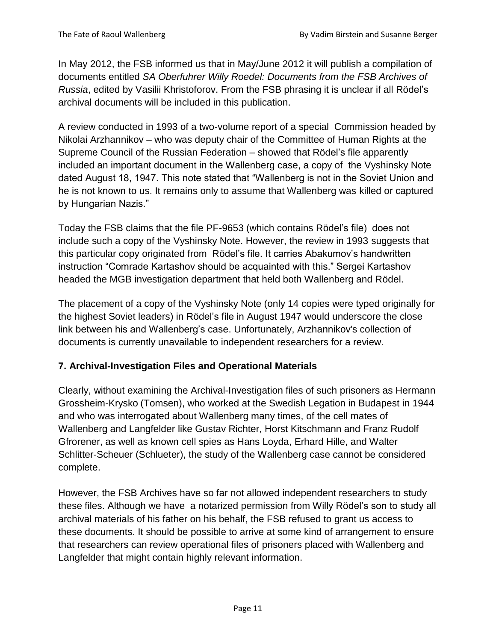In May 2012, the FSB informed us that in May/June 2012 it will publish a compilation of documents entitled *SA Oberfuhrer Willy Roedel: Documents from the FSB Archives of Russia*, edited by Vasilii Khristoforov. From the FSB phrasing it is unclear if all Rödel's archival documents will be included in this publication.

A review conducted in 1993 of a two-volume report of a special Commission headed by Nikolai Arzhannikov – who was deputy chair of the Committee of Human Rights at the Supreme Council of the Russian Federation – showed that Rödel's file apparently included an important document in the Wallenberg case, a copy of the Vyshinsky Note dated August 18, 1947. This note stated that "Wallenberg is not in the Soviet Union and he is not known to us. It remains only to assume that Wallenberg was killed or captured by Hungarian Nazis."

Today the FSB claims that the file PF-9653 (which contains Rödel's file) does not include such a copy of the Vyshinsky Note. However, the review in 1993 suggests that this particular copy originated from Rödel's file. It carries Abakumov's handwritten instruction "Comrade Kartashov should be acquainted with this." Sergei Kartashov headed the MGB investigation department that held both Wallenberg and Rödel.

The placement of a copy of the Vyshinsky Note (only 14 copies were typed originally for the highest Soviet leaders) in Rödel's file in August 1947 would underscore the close link between his and Wallenberg's case. Unfortunately, Arzhannikov's collection of documents is currently unavailable to independent researchers for a review.

#### **7. Archival-Investigation Files and Operational Materials**

Clearly, without examining the Archival-Investigation files of such prisoners as Hermann Grossheim-Krysko (Tomsen), who worked at the Swedish Legation in Budapest in 1944 and who was interrogated about Wallenberg many times, of the cell mates of Wallenberg and Langfelder like Gustav Richter, Horst Kitschmann and Franz Rudolf Gfrorener, as well as known cell spies as Hans Loyda, Erhard Hille, and Walter Schlitter-Scheuer (Schlueter), the study of the Wallenberg case cannot be considered complete.

However, the FSB Archives have so far not allowed independent researchers to study these files. Although we have a notarized permission from Willy Rödel's son to study all archival materials of his father on his behalf, the FSB refused to grant us access to these documents. It should be possible to arrive at some kind of arrangement to ensure that researchers can review operational files of prisoners placed with Wallenberg and Langfelder that might contain highly relevant information.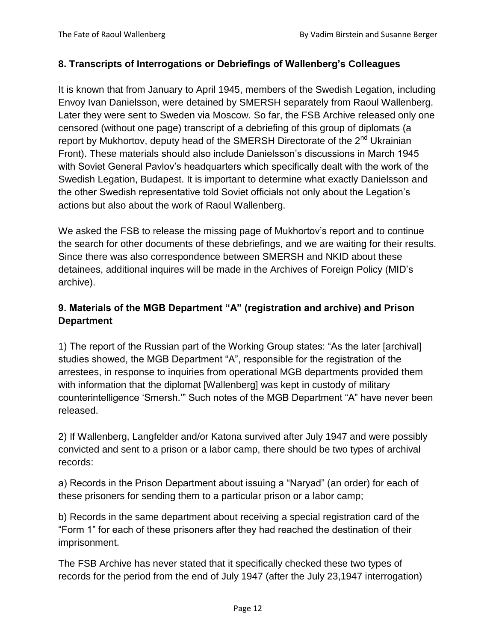#### **8. Transcripts of Interrogations or Debriefings of Wallenberg's Colleagues**

It is known that from January to April 1945, members of the Swedish Legation, including Envoy Ivan Danielsson, were detained by SMERSH separately from Raoul Wallenberg. Later they were sent to Sweden via Moscow. So far, the FSB Archive released only one censored (without one page) transcript of a debriefing of this group of diplomats (a report by Mukhortov, deputy head of the SMERSH Directorate of the  $2^{nd}$  Ukrainian Front). These materials should also include Danielsson's discussions in March 1945 with Soviet General Pavlov's headquarters which specifically dealt with the work of the Swedish Legation, Budapest. It is important to determine what exactly Danielsson and the other Swedish representative told Soviet officials not only about the Legation's actions but also about the work of Raoul Wallenberg.

We asked the FSB to release the missing page of Mukhortov's report and to continue the search for other documents of these debriefings, and we are waiting for their results. Since there was also correspondence between SMERSH and NKID about these detainees, additional inquires will be made in the Archives of Foreign Policy (MID's archive).

# **9. Materials of the MGB Department "A" (registration and archive) and Prison Department**

1) The report of the Russian part of the Working Group states: "As the later [archival] studies showed, the MGB Department "A", responsible for the registration of the arrestees, in response to inquiries from operational MGB departments provided them with information that the diplomat [Wallenberg] was kept in custody of military counterintelligence 'Smersh.'" Such notes of the MGB Department "A" have never been released.

2) If Wallenberg, Langfelder and/or Katona survived after July 1947 and were possibly convicted and sent to a prison or a labor camp, there should be two types of archival records:

a) Records in the Prison Department about issuing a "Naryad" (an order) for each of these prisoners for sending them to a particular prison or a labor camp;

b) Records in the same department about receiving a special registration card of the "Form 1" for each of these prisoners after they had reached the destination of their imprisonment.

The FSB Archive has never stated that it specifically checked these two types of records for the period from the end of July 1947 (after the July 23,1947 interrogation)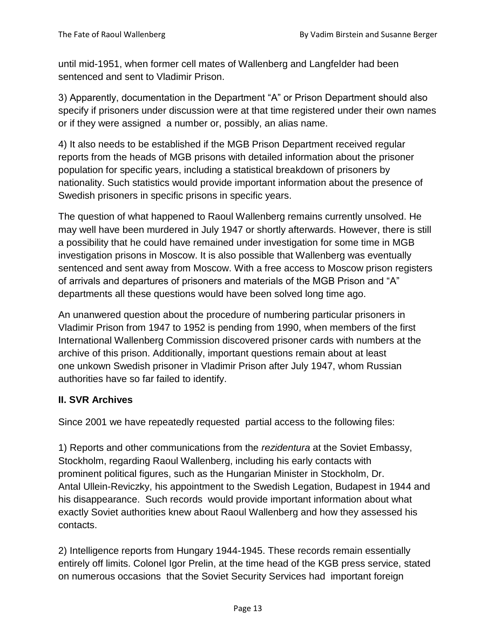until mid-1951, when former cell mates of Wallenberg and Langfelder had been sentenced and sent to Vladimir Prison.

3) Apparently, documentation in the Department "A" or Prison Department should also specify if prisoners under discussion were at that time registered under their own names or if they were assigned a number or, possibly, an alias name.

4) It also needs to be established if the MGB Prison Department received regular reports from the heads of MGB prisons with detailed information about the prisoner population for specific years, including a statistical breakdown of prisoners by nationality. Such statistics would provide important information about the presence of Swedish prisoners in specific prisons in specific years.

The question of what happened to Raoul Wallenberg remains currently unsolved. He may well have been murdered in July 1947 or shortly afterwards. However, there is still a possibility that he could have remained under investigation for some time in MGB investigation prisons in Moscow. It is also possible that Wallenberg was eventually sentenced and sent away from Moscow. With a free access to Moscow prison registers of arrivals and departures of prisoners and materials of the MGB Prison and "A" departments all these questions would have been solved long time ago.

An unanwered question about the procedure of numbering particular prisoners in Vladimir Prison from 1947 to 1952 is pending from 1990, when members of the first International Wallenberg Commission discovered prisoner cards with numbers at the archive of this prison. Additionally, important questions remain about at least one unkown Swedish prisoner in Vladimir Prison after July 1947, whom Russian authorities have so far failed to identify.

#### **II. SVR Archives**

Since 2001 we have repeatedly requested partial access to the following files:

1) Reports and other communications from the *rezidentura* at the Soviet Embassy, Stockholm, regarding Raoul Wallenberg, including his early contacts with prominent political figures, such as the Hungarian Minister in Stockholm, Dr. Antal Ullein-Reviczky, his appointment to the Swedish Legation, Budapest in 1944 and his disappearance. Such records would provide important information about what exactly Soviet authorities knew about Raoul Wallenberg and how they assessed his contacts.

2) Intelligence reports from Hungary 1944-1945. These records remain essentially entirely off limits. Colonel Igor Prelin, at the time head of the KGB press service, stated on numerous occasions that the Soviet Security Services had important foreign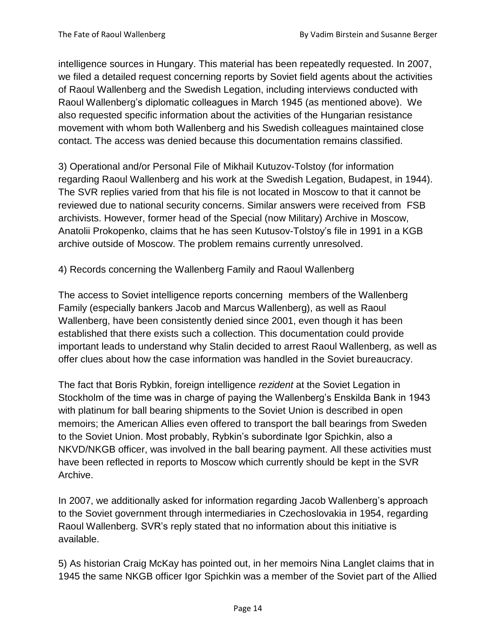intelligence sources in Hungary. This material has been repeatedly requested. In 2007, we filed a detailed request concerning reports by Soviet field agents about the activities of Raoul Wallenberg and the Swedish Legation, including interviews conducted with Raoul Wallenberg's diplomatic colleagues in March 1945 (as mentioned above). We also requested specific information about the activities of the Hungarian resistance movement with whom both Wallenberg and his Swedish colleagues maintained close contact. The access was denied because this documentation remains classified.

3) Operational and/or Personal File of Mikhail Kutuzov-Tolstoy (for information regarding Raoul Wallenberg and his work at the Swedish Legation, Budapest, in 1944). The SVR replies varied from that his file is not located in Moscow to that it cannot be reviewed due to national security concerns. Similar answers were received from FSB archivists. However, former head of the Special (now Military) Archive in Moscow, Anatolii Prokopenko, claims that he has seen Kutusov-Tolstoy's file in 1991 in a KGB archive outside of Moscow. The problem remains currently unresolved.

4) Records concerning the Wallenberg Family and Raoul Wallenberg

The access to Soviet intelligence reports concerning members of the Wallenberg Family (especially bankers Jacob and Marcus Wallenberg), as well as Raoul Wallenberg, have been consistently denied since 2001, even though it has been established that there exists such a collection. This documentation could provide important leads to understand why Stalin decided to arrest Raoul Wallenberg, as well as offer clues about how the case information was handled in the Soviet bureaucracy.

The fact that Boris Rybkin, foreign intelligence *rezident* at the Soviet Legation in Stockholm of the time was in charge of paying the Wallenberg's Enskilda Bank in 1943 with platinum for ball bearing shipments to the Soviet Union is described in open memoirs; the American Allies even offered to transport the ball bearings from Sweden to the Soviet Union. Most probably, Rybkin's subordinate Igor Spichkin, also a NKVD/NKGB officer, was involved in the ball bearing payment. All these activities must have been reflected in reports to Moscow which currently should be kept in the SVR Archive.

In 2007, we additionally asked for information regarding Jacob Wallenberg's approach to the Soviet government through intermediaries in Czechoslovakia in 1954, regarding Raoul Wallenberg. SVR's reply stated that no information about this initiative is available.

5) As historian Craig McKay has pointed out, in her memoirs Nina Langlet claims that in 1945 the same NKGB officer Igor Spichkin was a member of the Soviet part of the Allied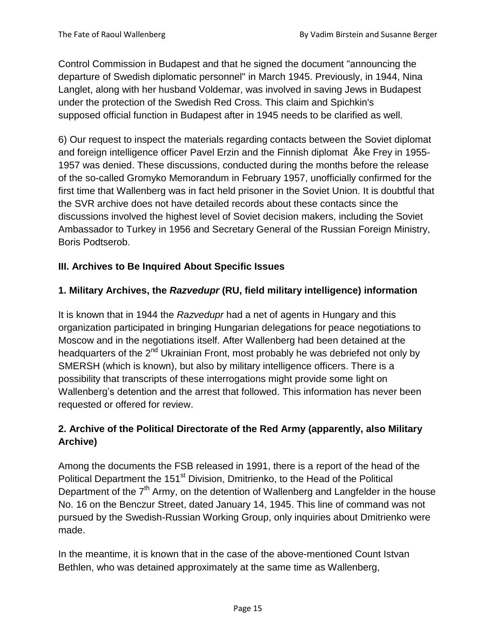Control Commission in Budapest and that he signed the document "announcing the departure of Swedish diplomatic personnel" in March 1945. Previously, in 1944, Nina Langlet, along with her husband Voldemar, was involved in saving Jews in Budapest under the protection of the Swedish Red Cross. This claim and Spichkin's supposed official function in Budapest after in 1945 needs to be clarified as well.

6) Our request to inspect the materials regarding contacts between the Soviet diplomat and foreign intelligence officer Pavel Erzin and the Finnish diplomat Åke Frey in 1955- 1957 was denied. These discussions, conducted during the months before the release of the so-called Gromyko Memorandum in February 1957, unofficially confirmed for the first time that Wallenberg was in fact held prisoner in the Soviet Union. It is doubtful that the SVR archive does not have detailed records about these contacts since the discussions involved the highest level of Soviet decision makers, including the Soviet Ambassador to Turkey in 1956 and Secretary General of the Russian Foreign Ministry, Boris Podtserob.

## **III. Archives to Be Inquired About Specific Issues**

## **1. Military Archives, the** *Razvedupr* **(RU, field military intelligence) information**

It is known that in 1944 the *Razvedupr* had a net of agents in Hungary and this organization participated in bringing Hungarian delegations for peace negotiations to Moscow and in the negotiations itself. After Wallenberg had been detained at the headquarters of the 2<sup>nd</sup> Ukrainian Front, most probably he was debriefed not only by SMERSH (which is known), but also by military intelligence officers. There is a possibility that transcripts of these interrogations might provide some light on Wallenberg's detention and the arrest that followed. This information has never been requested or offered for review.

# **2. Archive of the Political Directorate of the Red Army (apparently, also Military Archive)**

Among the documents the FSB released in 1991, there is a report of the head of the Political Department the 151<sup>st</sup> Division, Dmitrienko, to the Head of the Political Department of the  $7<sup>th</sup>$  Army, on the detention of Wallenberg and Langfelder in the house No. 16 on the Benczur Street, dated January 14, 1945. This line of command was not pursued by the Swedish-Russian Working Group, only inquiries about Dmitrienko were made.

In the meantime, it is known that in the case of the above-mentioned Count Istvan Bethlen, who was detained approximately at the same time as Wallenberg,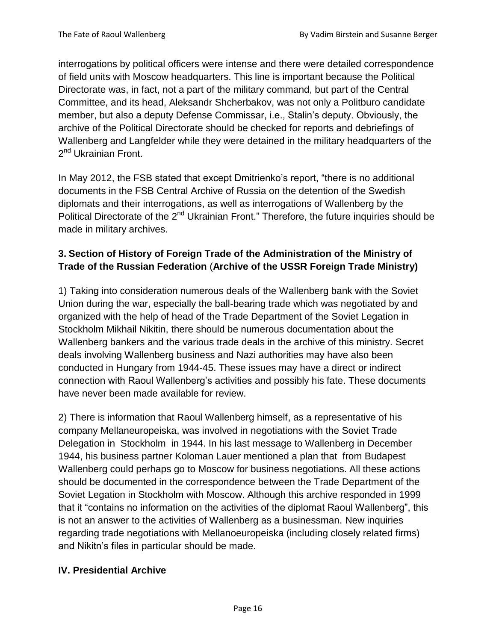interrogations by political officers were intense and there were detailed correspondence of field units with Moscow headquarters. This line is important because the Political Directorate was, in fact, not a part of the military command, but part of the Central Committee, and its head, Aleksandr Shcherbakov, was not only a Politburo candidate member, but also a deputy Defense Commissar, i.e., Stalin's deputy. Obviously, the archive of the Political Directorate should be checked for reports and debriefings of Wallenberg and Langfelder while they were detained in the military headquarters of the 2<sup>nd</sup> Ukrainian Front.

In May 2012, the FSB stated that except Dmitrienko's report, "there is no additional documents in the FSB Central Archive of Russia on the detention of the Swedish diplomats and their interrogations, as well as interrogations of Wallenberg by the Political Directorate of the 2<sup>nd</sup> Ukrainian Front." Therefore, the future inquiries should be made in military archives.

# **3. Section of History of Foreign Trade of the Administration of the Ministry of Trade of the Russian Federation** (**Archive of the USSR Foreign Trade Ministry)**

1) Taking into consideration numerous deals of the Wallenberg bank with the Soviet Union during the war, especially the ball-bearing trade which was negotiated by and organized with the help of head of the Trade Department of the Soviet Legation in Stockholm Mikhail Nikitin, there should be numerous documentation about the Wallenberg bankers and the various trade deals in the archive of this ministry. Secret deals involving Wallenberg business and Nazi authorities may have also been conducted in Hungary from 1944-45. These issues may have a direct or indirect connection with Raoul Wallenberg's activities and possibly his fate. These documents have never been made available for review.

2) There is information that Raoul Wallenberg himself, as a representative of his company Mellaneuropeiska, was involved in negotiations with the Soviet Trade Delegation in Stockholm in 1944. In his last message to Wallenberg in December 1944, his business partner Koloman Lauer mentioned a plan that from Budapest Wallenberg could perhaps go to Moscow for business negotiations. All these actions should be documented in the correspondence between the Trade Department of the Soviet Legation in Stockholm with Moscow. Although this archive responded in 1999 that it "contains no information on the activities of the diplomat Raoul Wallenberg", this is not an answer to the activities of Wallenberg as a businessman. New inquiries regarding trade negotiations with Mellanoeuropeiska (including closely related firms) and Nikitn's files in particular should be made.

#### **IV. Presidential Archive**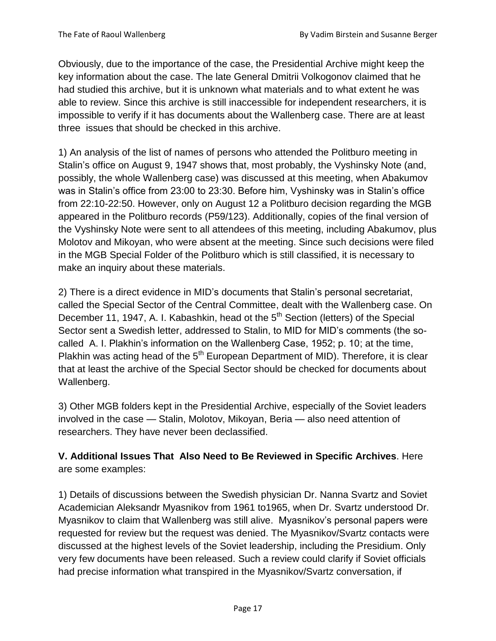Obviously, due to the importance of the case, the Presidential Archive might keep the key information about the case. The late General Dmitrii Volkogonov claimed that he had studied this archive, but it is unknown what materials and to what extent he was able to review. Since this archive is still inaccessible for independent researchers, it is impossible to verify if it has documents about the Wallenberg case. There are at least three issues that should be checked in this archive.

1) An analysis of the list of names of persons who attended the Politburo meeting in Stalin's office on August 9, 1947 shows that, most probably, the Vyshinsky Note (and, possibly, the whole Wallenberg case) was discussed at this meeting, when Abakumov was in Stalin's office from 23:00 to 23:30. Before him, Vyshinsky was in Stalin's office from 22:10-22:50. However, only on August 12 a Politburo decision regarding the MGB appeared in the Politburo records (P59/123). Additionally, copies of the final version of the Vyshinsky Note were sent to all attendees of this meeting, including Abakumov, plus Molotov and Mikoyan, who were absent at the meeting. Since such decisions were filed in the MGB Special Folder of the Politburo which is still classified, it is necessary to make an inquiry about these materials.

2) There is a direct evidence in MID's documents that Stalin's personal secretariat, called the Special Sector of the Central Committee, dealt with the Wallenberg case. On December 11, 1947, A. I. Kabashkin, head ot the 5<sup>th</sup> Section (letters) of the Special Sector sent a Swedish letter, addressed to Stalin, to MID for MID's comments (the socalled A. I. Plakhin's information on the Wallenberg Case, 1952; p. 10; at the time, Plakhin was acting head of the  $5<sup>th</sup>$  European Department of MID). Therefore, it is clear that at least the archive of the Special Sector should be checked for documents about Wallenberg.

3) Other MGB folders kept in the Presidential Archive, especially of the Soviet leaders involved in the case — Stalin, Molotov, Mikoyan, Beria — also need attention of researchers. They have never been declassified.

**V. Additional Issues That Also Need to Be Reviewed in Specific Archives**. Here are some examples:

1) Details of discussions between the Swedish physician Dr. Nanna Svartz and Soviet Academician Aleksandr Myasnikov from 1961 to1965, when Dr. Svartz understood Dr. Myasnikov to claim that Wallenberg was still alive. Myasnikov's personal papers were requested for review but the request was denied. The Myasnikov/Svartz contacts were discussed at the highest levels of the Soviet leadership, including the Presidium. Only very few documents have been released. Such a review could clarify if Soviet officials had precise information what transpired in the Myasnikov/Svartz conversation, if